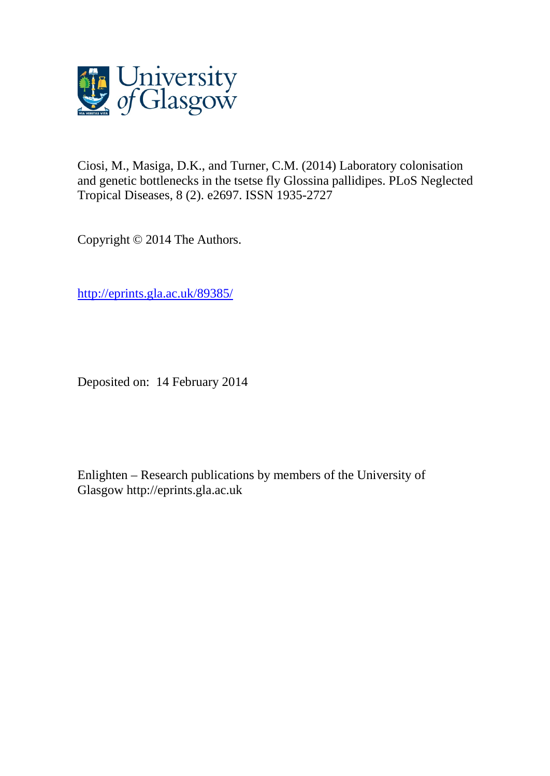

Ciosi, M., Masiga, D.K., and Turner, C.M. (2014) Laboratory colonisation and genetic bottlenecks in the tsetse fly Glossina pallidipes. PLoS Neglected Tropical Diseases, 8 (2). e2697. ISSN 1935-2727

Copyright © 2014 The Authors.

[http://eprints.gla.ac.uk/89385/](http://eprints.gla.ac.uk/87022/)

Deposited on: 14 February 2014

Enlighten – Research publications by members of the University of Glasgow [http://eprints.gla.ac.uk](http://eprints.gla.ac.uk/)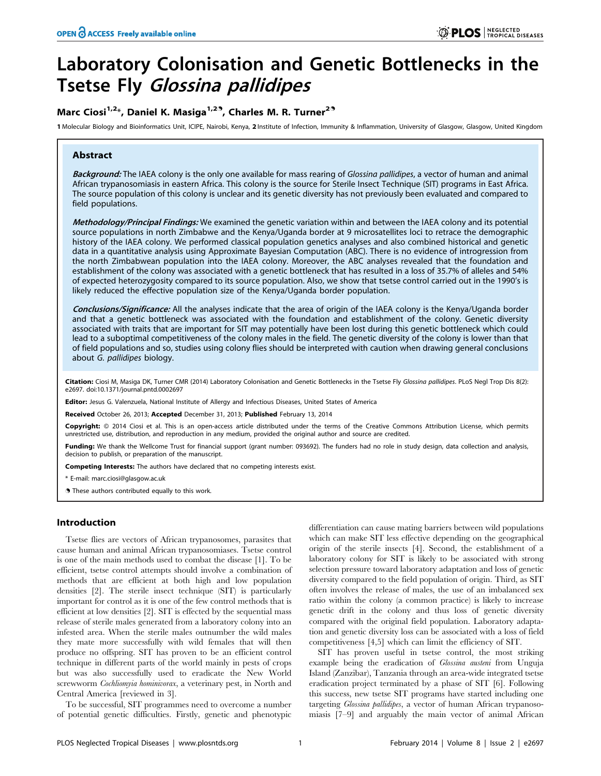# Laboratory Colonisation and Genetic Bottlenecks in the Tsetse Fly Glossina pallidipes

## Marc Ciosi<sup>1,2\*</sup>, Daniel K. Masiga<sup>1,2°</sup>, Charles M. R. Turner<sup>2°</sup>

1 Molecular Biology and Bioinformatics Unit, ICIPE, Nairobi, Kenya, 2 Institute of Infection, Immunity & Inflammation, University of Glasgow, Glasgow, United Kingdom

## Abstract

Background: The IAEA colony is the only one available for mass rearing of Glossina pallidipes, a vector of human and animal African trypanosomiasis in eastern Africa. This colony is the source for Sterile Insect Technique (SIT) programs in East Africa. The source population of this colony is unclear and its genetic diversity has not previously been evaluated and compared to field populations.

Methodology/Principal Findings: We examined the genetic variation within and between the IAEA colony and its potential source populations in north Zimbabwe and the Kenya/Uganda border at 9 microsatellites loci to retrace the demographic history of the IAEA colony. We performed classical population genetics analyses and also combined historical and genetic data in a quantitative analysis using Approximate Bayesian Computation (ABC). There is no evidence of introgression from the north Zimbabwean population into the IAEA colony. Moreover, the ABC analyses revealed that the foundation and establishment of the colony was associated with a genetic bottleneck that has resulted in a loss of 35.7% of alleles and 54% of expected heterozygosity compared to its source population. Also, we show that tsetse control carried out in the 1990's is likely reduced the effective population size of the Kenya/Uganda border population.

Conclusions/Significance: All the analyses indicate that the area of origin of the IAEA colony is the Kenya/Uganda border and that a genetic bottleneck was associated with the foundation and establishment of the colony. Genetic diversity associated with traits that are important for SIT may potentially have been lost during this genetic bottleneck which could lead to a suboptimal competitiveness of the colony males in the field. The genetic diversity of the colony is lower than that of field populations and so, studies using colony flies should be interpreted with caution when drawing general conclusions about G. pallidipes biology.

Citation: Ciosi M, Masiga DK, Turner CMR (2014) Laboratory Colonisation and Genetic Bottlenecks in the Tsetse Fly Glossina pallidipes. PLoS Negl Trop Dis 8(2): e2697. doi:10.1371/journal.pntd.0002697

Editor: Jesus G. Valenzuela, National Institute of Allergy and Infectious Diseases, United States of America

Received October 26, 2013; Accepted December 31, 2013; Published February 13, 2014

Copyright: © 2014 Ciosi et al. This is an open-access article distributed under the terms of the [Creative Commons Attribution License,](http://creativecommons.org/licenses/by/4.0/) which permits unrestricted use, distribution, and reproduction in any medium, provided the original author and source are credited.

Funding: We thank the Wellcome Trust for financial support (grant number: 093692). The funders had no role in study design, data collection and analysis, decision to publish, or preparation of the manuscript.

Competing Interests: The authors have declared that no competing interests exist.

\* E-mail: marc.ciosi@glasgow.ac.uk

**.** These authors contributed equally to this work.

## Introduction

Tsetse flies are vectors of African trypanosomes, parasites that cause human and animal African trypanosomiases. Tsetse control is one of the main methods used to combat the disease [1]. To be efficient, tsetse control attempts should involve a combination of methods that are efficient at both high and low population densities [2]. The sterile insect technique (SIT) is particularly important for control as it is one of the few control methods that is efficient at low densities [2]. SIT is effected by the sequential mass release of sterile males generated from a laboratory colony into an infested area. When the sterile males outnumber the wild males they mate more successfully with wild females that will then produce no offspring. SIT has proven to be an efficient control technique in different parts of the world mainly in pests of crops but was also successfully used to eradicate the New World screwworm Cochliomyia hominivorax, a veterinary pest, in North and Central America [reviewed in 3].

To be successful, SIT programmes need to overcome a number of potential genetic difficulties. Firstly, genetic and phenotypic differentiation can cause mating barriers between wild populations which can make SIT less effective depending on the geographical origin of the sterile insects [4]. Second, the establishment of a laboratory colony for SIT is likely to be associated with strong selection pressure toward laboratory adaptation and loss of genetic diversity compared to the field population of origin. Third, as SIT often involves the release of males, the use of an imbalanced sex ratio within the colony (a common practice) is likely to increase genetic drift in the colony and thus loss of genetic diversity compared with the original field population. Laboratory adaptation and genetic diversity loss can be associated with a loss of field competitiveness [4,5] which can limit the efficiency of SIT.

SIT has proven useful in tsetse control, the most striking example being the eradication of Glossina austeni from Unguja Island (Zanzibar), Tanzania through an area-wide integrated tsetse eradication project terminated by a phase of SIT [6]. Following this success, new tsetse SIT programs have started including one targeting Glossina pallidipes, a vector of human African trypanosomiasis [7–9] and arguably the main vector of animal African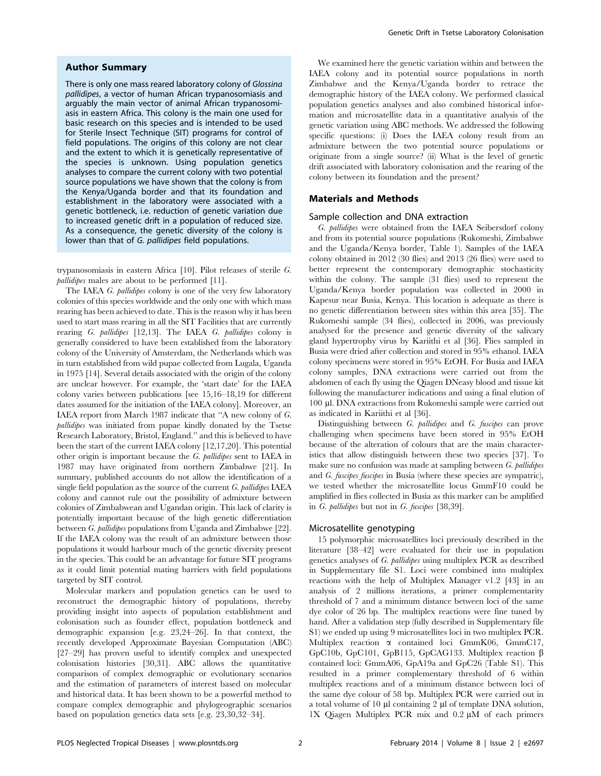#### Author Summary

There is only one mass reared laboratory colony of Glossina pallidipes, a vector of human African trypanosomiasis and arguably the main vector of animal African trypanosomiasis in eastern Africa. This colony is the main one used for basic research on this species and is intended to be used for Sterile Insect Technique (SIT) programs for control of field populations. The origins of this colony are not clear and the extent to which it is genetically representative of the species is unknown. Using population genetics analyses to compare the current colony with two potential source populations we have shown that the colony is from the Kenya/Uganda border and that its foundation and establishment in the laboratory were associated with a genetic bottleneck, i.e. reduction of genetic variation due to increased genetic drift in a population of reduced size. As a consequence, the genetic diversity of the colony is lower than that of G. pallidipes field populations.

trypanosomiasis in eastern Africa [10]. Pilot releases of sterile G. pallidipes males are about to be performed [11].

The IAEA G. pallidipes colony is one of the very few laboratory colonies of this species worldwide and the only one with which mass rearing has been achieved to date. This is the reason why it has been used to start mass rearing in all the SIT Facilities that are currently rearing G. pallidipes [12,13]. The IAEA G. pallidipes colony is generally considered to have been established from the laboratory colony of the University of Amsterdam, the Netherlands which was in turn established from wild pupae collected from Lugala, Uganda in 1975 [14]. Several details associated with the origin of the colony are unclear however. For example, the 'start date' for the IAEA colony varies between publications [see 15,16–18,19 for different dates assumed for the initiation of the IAEA colony]. Moreover, an IAEA report from March 1987 indicate that ''A new colony of G. pallidipes was initiated from pupae kindly donated by the Tsetse Research Laboratory, Bristol, England.'' and this is believed to have been the start of the current IAEA colony [12,17,20]. This potential other origin is important because the G. pallidipes sent to IAEA in 1987 may have originated from northern Zimbabwe [21]. In summary, published accounts do not allow the identification of a single field population as the source of the current  $G$ . pallidipes IAEA colony and cannot rule out the possibility of admixture between colonies of Zimbabwean and Ugandan origin. This lack of clarity is potentially important because of the high genetic differentiation between G. pallidipes populations from Uganda and Zimbabwe [22]. If the IAEA colony was the result of an admixture between those populations it would harbour much of the genetic diversity present in the species. This could be an advantage for future SIT programs as it could limit potential mating barriers with field populations targeted by SIT control.

Molecular markers and population genetics can be used to reconstruct the demographic history of populations, thereby providing insight into aspects of population establishment and colonisation such as founder effect, population bottleneck and demographic expansion [e.g. 23,24–26]. In that context, the recently developed Approximate Bayesian Computation (ABC) [27–29] has proven useful to identify complex and unexpected colonisation histories [30,31]. ABC allows the quantitative comparison of complex demographic or evolutionary scenarios and the estimation of parameters of interest based on molecular and historical data. It has been shown to be a powerful method to compare complex demographic and phylogeographic scenarios based on population genetics data sets [e.g. 23,30,32–34].

We examined here the genetic variation within and between the IAEA colony and its potential source populations in north Zimbabwe and the Kenya/Uganda border to retrace the demographic history of the IAEA colony. We performed classical population genetics analyses and also combined historical information and microsatellite data in a quantitative analysis of the genetic variation using ABC methods. We addressed the following specific questions: (i) Does the IAEA colony result from an admixture between the two potential source populations or originate from a single source? (ii) What is the level of genetic drift associated with laboratory colonisation and the rearing of the colony between its foundation and the present?

#### Materials and Methods

#### Sample collection and DNA extraction

G. pallidipes were obtained from the IAEA Seibersdorf colony and from its potential source populations (Rukomeshi, Zimbabwe and the Uganda/Kenya border, Table 1). Samples of the IAEA colony obtained in 2012 (30 flies) and 2013 (26 flies) were used to better represent the contemporary demographic stochasticity within the colony. The sample (31 flies) used to represent the Uganda/Kenya border population was collected in 2000 in Kapesur near Busia, Kenya. This location is adequate as there is no genetic differentiation between sites within this area [35]. The Rukomeshi sample (34 flies), collected in 2006, was previously analysed for the presence and genetic diversity of the salivary gland hypertrophy virus by Kariithi et al [36]. Flies sampled in Busia were dried after collection and stored in 95% ethanol. IAEA colony specimens were stored in 95% EtOH. For Busia and IAEA colony samples, DNA extractions were carried out from the abdomen of each fly using the Qiagen DNeasy blood and tissue kit following the manufacturer indications and using a final elution of 100 ml. DNA extractions from Rukomeshi sample were carried out as indicated in Kariithi et al [36].

Distinguishing between G. pallidipes and G. fuscipes can prove challenging when specimens have been stored in 95% EtOH because of the alteration of colours that are the main characteristics that allow distinguish between these two species [37]. To make sure no confusion was made at sampling between G. pallidipes and G. fuscipes fuscipes in Busia (where these species are sympatric), we tested whether the microsatellite locus GmmF10 could be amplified in flies collected in Busia as this marker can be amplified in G. pallidipes but not in G. fuscipes [38,39].

## Microsatellite genotyping

15 polymorphic microsatellites loci previously described in the literature [38–42] were evaluated for their use in population genetics analyses of G. pallidipes using multiplex PCR as described in Supplementary file S1. Loci were combined into multiplex reactions with the help of Multiplex Manager v1.2 [43] in an analysis of 2 millions iterations, a primer complementarity threshold of 7 and a minimum distance between loci of the same dye color of 26 bp. The multiplex reactions were fine tuned by hand. After a validation step (fully described in Supplementary file S1) we ended up using 9 microsatellites loci in two multiplex PCR. Multiplex reaction  $\alpha$  contained loci GmmK06, GmmC17, GpC10b, GpC101, GpB115, GpCAG133. Multiplex reaction  $\beta$ contained loci: GmmA06, GpA19a and GpC26 (Table S1). This resulted in a primer complementary threshold of 6 within multiplex reactions and of a minimum distance between loci of the same dye colour of 58 bp. Multiplex PCR were carried out in a total volume of 10  $\mu$ l containing 2  $\mu$ l of template DNA solution,  $1X$  Qiagen Multiplex PCR mix and  $0.2 \mu M$  of each primers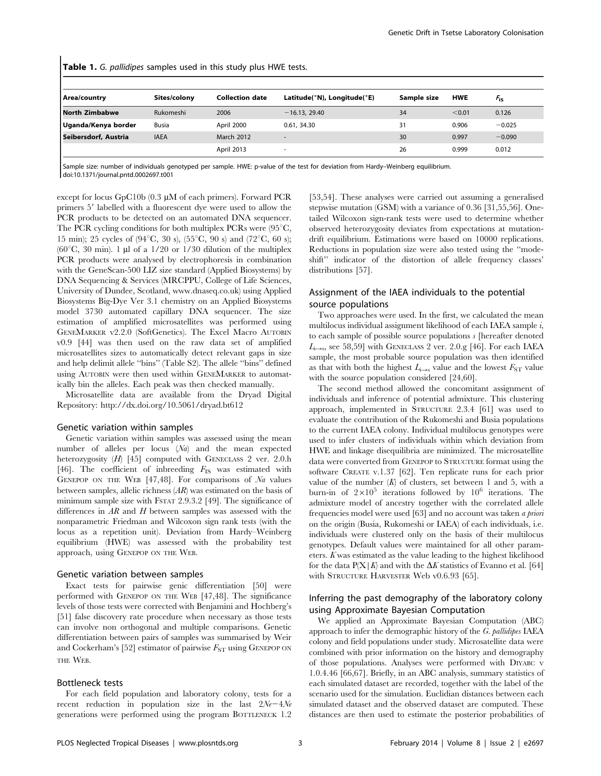| <b>Table 1.</b> G. pallidipes samples used in this study plus HWE tests. |              |                        |                             |             |            |                        |  |  |
|--------------------------------------------------------------------------|--------------|------------------------|-----------------------------|-------------|------------|------------------------|--|--|
| Area/country                                                             | Sites/colony | <b>Collection date</b> | Latitude(°N), Longitude(°E) | Sample size | <b>HWE</b> | <i>F</i> <sub>is</sub> |  |  |
| <b>North Zimbabwe</b>                                                    | Rukomeshi    | 2006                   | $-16.13, 29.40$             | 34          | < 0.01     | 0.126                  |  |  |
| Uganda/Kenya border                                                      | <b>Busia</b> | April 2000             | 0.61, 34.30                 | 31          | 0.906      | $-0.025$               |  |  |
| Seibersdorf, Austria                                                     | <b>IAEA</b>  | <b>March 2012</b>      |                             | 30          | 0.997      | $-0.090$               |  |  |
|                                                                          |              | April 2013             |                             | 26          | 0.999      | 0.012                  |  |  |

Table 1. G. pallidipes samples used in this study plus HWE tests.

Sample size: number of individuals genotyped per sample. HWE: p-value of the test for deviation from Hardy–Weinberg equilibrium. doi:10.1371/journal.pntd.0002697.t001

except for locus GpC10b  $(0.3 \mu M)$  of each primers). Forward PCR primers 5' labelled with a fluorescent dye were used to allow the PCR products to be detected on an automated DNA sequencer. The PCR cycling conditions for both multiplex PCRs were  $(95^{\circ}C,$ 15 min); 25 cycles of (94 $^{\circ}$ C, 30 s), (55 $^{\circ}$ C, 90 s) and (72 $^{\circ}$ C, 60 s); ( $60^{\circ}$ C, 30 min). 1 µl of a 1/20 or 1/30 dilution of the multiplex PCR products were analysed by electrophoresis in combination with the GeneScan-500 LIZ size standard (Applied Biosystems) by DNA Sequencing & Services (MRCPPU, College of Life Sciences, University of Dundee, Scotland, www.dnaseq.co.uk) using Applied Biosystems Big-Dye Ver 3.1 chemistry on an Applied Biosystems model 3730 automated capillary DNA sequencer. The size estimation of amplified microsatellites was performed using GENEMARKER v2.2.0 (SoftGenetics). The Excel Macro AUTOBIN v0.9 [44] was then used on the raw data set of amplified microsatellites sizes to automatically detect relevant gaps in size and help delimit allele ''bins'' (Table S2). The allele ''bins'' defined using AUTOBIN were then used within GENEMARKER to automatically bin the alleles. Each peak was then checked manually.

Microsatellite data are available from the Dryad Digital Repository: http://dx.doi.org/10.5061/dryad.bt612

## Genetic variation within samples

Genetic variation within samples was assessed using the mean number of alleles per locus (Na) and the mean expected heterozygosity (H) [45] computed with GENECLASS 2 ver. 2.0.h [46]. The coefficient of inbreeding  $F_{\text{IS}}$  was estimated with GENEPOP ON THE WEB  $[47, 48]$ . For comparisons of  $Na$  values between samples, allelic richness (AR) was estimated on the basis of minimum sample size with FSTAT 2.9.3.2 [49]. The significance of differences in  $AR$  and  $H$  between samples was assessed with the nonparametric Friedman and Wilcoxon sign rank tests (with the locus as a repetition unit). Deviation from Hardy–Weinberg equilibrium (HWE) was assessed with the probability test approach, using GENEPOP ON THE WEB.

#### Genetic variation between samples

Exact tests for pairwise genic differentiation [50] were performed with GENEPOP ON THE WEB [47,48]. The significance levels of those tests were corrected with Benjamini and Hochberg's [51] false discovery rate procedure when necessary as those tests can involve non orthogonal and multiple comparisons. Genetic differentiation between pairs of samples was summarised by Weir and Cockerham's [52] estimator of pairwise  $F_{ST}$  using GENEPOP ON THE WEB.

#### Bottleneck tests

For each field population and laboratory colony, tests for a recent reduction in population size in the last  $2N_e-4N_e$ generations were performed using the program BOTTLENECK 1.2

[53,54]. These analyses were carried out assuming a generalised stepwise mutation (GSM) with a variance of 0.36 [31,55,56]. Onetailed Wilcoxon sign-rank tests were used to determine whether observed heterozygosity deviates from expectations at mutationdrift equilibrium. Estimations were based on 10000 replications. Reductions in population size were also tested using the ''modeshift'' indicator of the distortion of allele frequency classes' distributions [57].

## Assignment of the IAEA individuals to the potential source populations

Two approaches were used. In the first, we calculated the mean multilocus individual assignment likelihood of each IAEA sample i, to each sample of possible source populations s [hereafter denoted  $L_{i\rightarrow s}$ , see 58,59] with GENECLASS 2 ver. 2.0.g [46]. For each IAEA sample, the most probable source population was then identified as that with both the highest  $L_{i\rightarrow s}$  value and the lowest  $F_{ST}$  value with the source population considered  $[24,60]$ .

The second method allowed the concomitant assignment of individuals and inference of potential admixture. This clustering approach, implemented in STRUCTURE 2.3.4 [61] was used to evaluate the contribution of the Rukomeshi and Busia populations to the current IAEA colony. Individual multilocus genotypes were used to infer clusters of individuals within which deviation from HWE and linkage disequilibria are minimized. The microsatellite data were converted from GENEPOP to STRUCTURE format using the software CREATE v.1.37 [62]. Ten replicate runs for each prior value of the number  $(K)$  of clusters, set between 1 and 5, with a burn-in of  $2\times10^5$  iterations followed by  $10^6$  iterations. The admixture model of ancestry together with the correlated allele frequencies model were used [63] and no account was taken a priori on the origin (Busia, Rukomeshi or IAEA) of each individuals, i.e. individuals were clustered only on the basis of their multilocus genotypes. Default values were maintained for all other parameters.  $K$  was estimated as the value leading to the highest likelihood for the data  $P(X|K)$  and with the  $\Delta K$  statistics of Evanno et al. [64] with STRUCTURE HARVESTER Web v0.6.93 [65].

## Inferring the past demography of the laboratory colony using Approximate Bayesian Computation

We applied an Approximate Bayesian Computation (ABC) approach to infer the demographic history of the G. pallidipes IAEA colony and field populations under study. Microsatellite data were combined with prior information on the history and demography of those populations. Analyses were performed with DIYABC v 1.0.4.46 [66,67]. Briefly, in an ABC analysis, summary statistics of each simulated dataset are recorded, together with the label of the scenario used for the simulation. Euclidian distances between each simulated dataset and the observed dataset are computed. These distances are then used to estimate the posterior probabilities of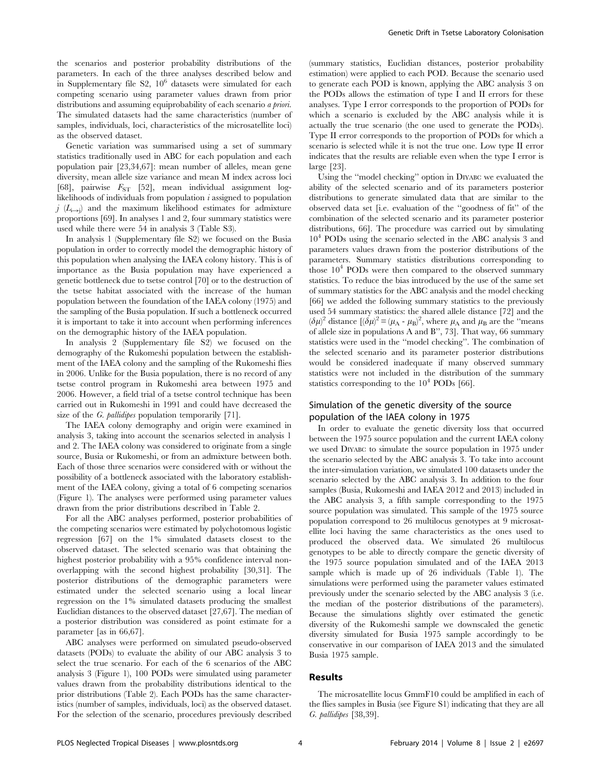the scenarios and posterior probability distributions of the parameters. In each of the three analyses described below and in Supplementary file  $S_2$ ,  $10^6$  datasets were simulated for each competing scenario using parameter values drawn from prior distributions and assuming equiprobability of each scenario *a priori*. The simulated datasets had the same characteristics (number of samples, individuals, loci, characteristics of the microsatellite loci) as the observed dataset.

Genetic variation was summarised using a set of summary statistics traditionally used in ABC for each population and each population pair [23,34,67]: mean number of alleles, mean gene diversity, mean allele size variance and mean M index across loci [68], pairwise  $F_{ST}$  [52], mean individual assignment loglikelihoods of individuals from population  $i$  assigned to population  $j$  ( $L_{i\rightarrow j}$ ) and the maximum likelihood estimates for admixture proportions [69]. In analyses 1 and 2, four summary statistics were used while there were 54 in analysis 3 (Table S3).

In analysis 1 (Supplementary file S2) we focused on the Busia population in order to correctly model the demographic history of this population when analysing the IAEA colony history. This is of importance as the Busia population may have experienced a genetic bottleneck due to tsetse control [70] or to the destruction of the tsetse habitat associated with the increase of the human population between the foundation of the IAEA colony (1975) and the sampling of the Busia population. If such a bottleneck occurred it is important to take it into account when performing inferences on the demographic history of the IAEA population.

In analysis 2 (Supplementary file S2) we focused on the demography of the Rukomeshi population between the establishment of the IAEA colony and the sampling of the Rukomeshi flies in 2006. Unlike for the Busia population, there is no record of any tsetse control program in Rukomeshi area between 1975 and 2006. However, a field trial of a tsetse control technique has been carried out in Rukomeshi in 1991 and could have decreased the size of the *G. pallidipes* population temporarily [71].

The IAEA colony demography and origin were examined in analysis 3, taking into account the scenarios selected in analysis 1 and 2. The IAEA colony was considered to originate from a single source, Busia or Rukomeshi, or from an admixture between both. Each of those three scenarios were considered with or without the possibility of a bottleneck associated with the laboratory establishment of the IAEA colony, giving a total of 6 competing scenarios (Figure 1). The analyses were performed using parameter values drawn from the prior distributions described in Table 2.

For all the ABC analyses performed, posterior probabilities of the competing scenarios were estimated by polychotomous logistic regression [67] on the 1% simulated datasets closest to the observed dataset. The selected scenario was that obtaining the highest posterior probability with a 95% confidence interval nonoverlapping with the second highest probability [30,31]. The posterior distributions of the demographic parameters were estimated under the selected scenario using a local linear regression on the 1% simulated datasets producing the smallest Euclidian distances to the observed dataset [27,67]. The median of a posterior distribution was considered as point estimate for a parameter [as in 66,67].

ABC analyses were performed on simulated pseudo-observed datasets (PODs) to evaluate the ability of our ABC analysis 3 to select the true scenario. For each of the 6 scenarios of the ABC analysis 3 (Figure 1), 100 PODs were simulated using parameter values drawn from the probability distributions identical to the prior distributions (Table 2). Each PODs has the same characteristics (number of samples, individuals, loci) as the observed dataset. For the selection of the scenario, procedures previously described (summary statistics, Euclidian distances, posterior probability estimation) were applied to each POD. Because the scenario used to generate each POD is known, applying the ABC analysis 3 on the PODs allows the estimation of type I and II errors for these analyses. Type I error corresponds to the proportion of PODs for which a scenario is excluded by the ABC analysis while it is actually the true scenario (the one used to generate the PODs). Type II error corresponds to the proportion of PODs for which a scenario is selected while it is not the true one. Low type II error indicates that the results are reliable even when the type I error is large [23].

Using the ''model checking'' option in DIYABC we evaluated the ability of the selected scenario and of its parameters posterior distributions to generate simulated data that are similar to the observed data set [i.e. evaluation of the ''goodness of fit'' of the combination of the selected scenario and its parameter posterior distributions, 66]. The procedure was carried out by simulating  $10<sup>4</sup>$  PODs using the scenario selected in the ABC analysis 3 and parameters values drawn from the posterior distributions of the parameters. Summary statistics distributions corresponding to those  $10^4$  PODs were then compared to the observed summary statistics. To reduce the bias introduced by the use of the same set of summary statistics for the ABC analysis and the model checking [66] we added the following summary statistics to the previously used 54 summary statistics: the shared allele distance [72] and the  $(\delta \mu)^2$  distance  $[(\delta \mu)^2 = (\mu_A - \mu_B)^2]$ , where  $\mu_A$  and  $\mu_B$  are the "means" of allele size in populations A and B'', 73]. That way, 66 summary statistics were used in the ''model checking''. The combination of the selected scenario and its parameter posterior distributions would be considered inadequate if many observed summary statistics were not included in the distribution of the summary statistics corresponding to the  $10^4$  PODs [66].

## Simulation of the genetic diversity of the source population of the IAEA colony in 1975

In order to evaluate the genetic diversity loss that occurred between the 1975 source population and the current IAEA colony we used DIYABC to simulate the source population in 1975 under the scenario selected by the ABC analysis 3. To take into account the inter-simulation variation, we simulated 100 datasets under the scenario selected by the ABC analysis 3. In addition to the four samples (Busia, Rukomeshi and IAEA 2012 and 2013) included in the ABC analysis 3, a fifth sample corresponding to the 1975 source population was simulated. This sample of the 1975 source population correspond to 26 multilocus genotypes at 9 microsatellite loci having the same characteristics as the ones used to produced the observed data. We simulated 26 multilocus genotypes to be able to directly compare the genetic diversity of the 1975 source population simulated and of the IAEA 2013 sample which is made up of 26 individuals (Table 1). The simulations were performed using the parameter values estimated previously under the scenario selected by the ABC analysis 3 (i.e. the median of the posterior distributions of the parameters). Because the simulations slightly over estimated the genetic diversity of the Rukomeshi sample we downscaled the genetic diversity simulated for Busia 1975 sample accordingly to be conservative in our comparison of IAEA 2013 and the simulated Busia 1975 sample.

#### Results

The microsatellite locus GmmF10 could be amplified in each of the flies samples in Busia (see Figure S1) indicating that they are all G. pallidipes [38,39].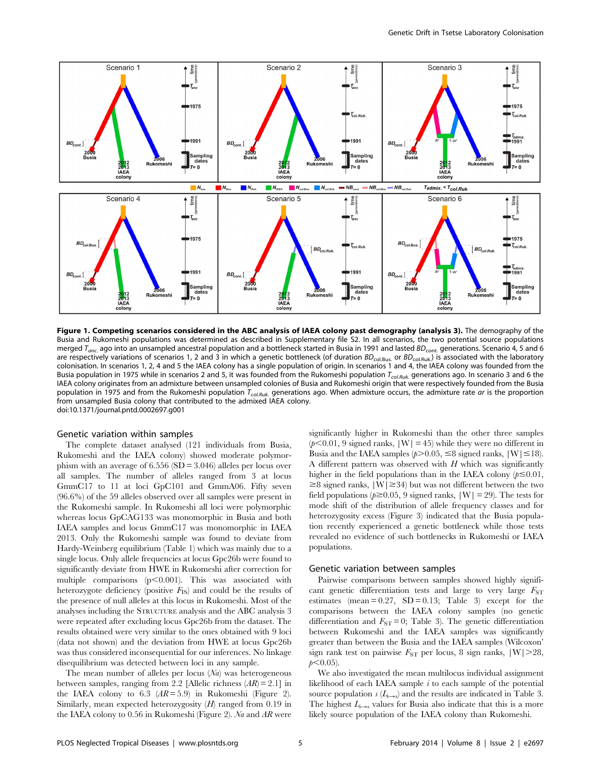

Figure 1. Competing scenarios considered in the ABC analysis of IAEA colony past demography (analysis 3). The demography of the Busia and Rukomeshi populations was determined as described in Supplementary file S2. In all scenarios, the two potential source populations merged  $T_{anc.}$  ago into an unsampled ancestral population and a bottleneck started in Busia in 1991 and lasted  $BD_{cont.}$  generations. Scenario 4, 5 and 6 are respectively variations of scenarios 1, 2 and 3 in which a genetic bottleneck (of duration  $BD_{\text{col.Bus}}$  or  $BD_{\text{col.Ruk}}$ ) is associated with the laboratory colonisation. In scenarios 1, 2, 4 and 5 the IAEA colony has a single population of origin. In scenarios 1 and 4, the IAEA colony was founded from the Busia population in 1975 while in scenarios 2 and 5, it was founded from the Rukomeshi population T<sub>col.Ruk</sub> generations ago. In scenario 3 and 6 the IAEA colony originates from an admixture between unsampled colonies of Busia and Rukomeshi origin that were respectively founded from the Busia population in 1975 and from the Rukomeshi population T<sub>col.Ruk</sub>, generations ago. When admixture occurs, the admixture rate ar is the proportion from unsampled Busia colony that contributed to the admixed IAEA colony. doi:10.1371/journal.pntd.0002697.g001

#### Genetic variation within samples

The complete dataset analysed (121 individuals from Busia, Rukomeshi and the IAEA colony) showed moderate polymorphism with an average of 6.556 (SD = 3.046) alleles per locus over all samples. The number of alleles ranged from 3 at locus GmmC17 to 11 at loci GpC101 and GmmA06. Fifty seven (96.6%) of the 59 alleles observed over all samples were present in the Rukomeshi sample. In Rukomeshi all loci were polymorphic whereas locus GpCAG133 was monomorphic in Busia and both IAEA samples and locus GmmC17 was monomorphic in IAEA 2013. Only the Rukomeshi sample was found to deviate from Hardy-Weinberg equilibrium (Table 1) which was mainly due to a single locus. Only allele frequencies at locus Gpc26b were found to significantly deviate from HWE in Rukomeshi after correction for multiple comparisons  $(p<0.001)$ . This was associated with heterozygote deficiency (positive  $F_{\text{IS}}$ ) and could be the results of the presence of null alleles at this locus in Rukomeshi. Most of the analyses including the STRUCTURE analysis and the ABC analysis 3 were repeated after excluding locus Gpc26b from the dataset. The results obtained were very similar to the ones obtained with 9 loci (data not shown) and the deviation from HWE at locus Gpc26b was thus considered inconsequential for our inferences. No linkage disequilibrium was detected between loci in any sample.

The mean number of alleles per locus  $(Na)$  was heterogeneous between samples, ranging from 2.2 [Allelic richness  $(AR) = 2.1$ ] in the IAEA colony to 6.3  $(AR = 5.9)$  in Rukomeshi (Figure 2). Similarly, mean expected heterozygosity  $(H)$  ranged from 0.19 in the IAEA colony to 0.56 in Rukomeshi (Figure 2). Na and  $AR$  were

significantly higher in Rukomeshi than the other three samples  $(p<0.01, 9$  signed ranks,  $|W| = 45$ ) while they were no different in Busia and the IAEA samples ( $p > 0.05$ ,  $\leq 8$  signed ranks,  $|W| \leq 18$ ). A different pattern was observed with  $H$  which was significantly higher in the field populations than in the IAEA colony  $(p \le 0.01,$  $\geq$ 8 signed ranks,  $|W| \geq$ 34) but was not different between the two field populations ( $p \ge 0.05$ , 9 signed ranks,  $|W| = 29$ ). The tests for mode shift of the distribution of allele frequency classes and for heterozygosity excess (Figure 3) indicated that the Busia population recently experienced a genetic bottleneck while those tests revealed no evidence of such bottlenecks in Rukomeshi or IAEA populations.

#### Genetic variation between samples

Pairwise comparisons between samples showed highly significant genetic differentiation tests and large to very large  $F_{ST}$ estimates (mean  $= 0.27$ , SD  $= 0.13$ ; Table 3) except for the comparisons between the IAEA colony samples (no genetic differentiation and  $F_{ST} = 0$ ; Table 3). The genetic differentiation between Rukomeshi and the IAEA samples was significantly greater than between the Busia and the IAEA samples (Wilcoxon' sign rank test on pairwise  $F_{ST}$  per locus, 8 sign ranks,  $|W|>28$ ,  $p<0.05$ ).

We also investigated the mean multilocus individual assignment likelihood of each IAEA sample  $i$  to each sample of the potential source population  $s(L_{i\rightarrow s})$  and the results are indicated in Table 3. The highest  $L_{i\rightarrow s}$  values for Busia also indicate that this is a more likely source population of the IAEA colony than Rukomeshi.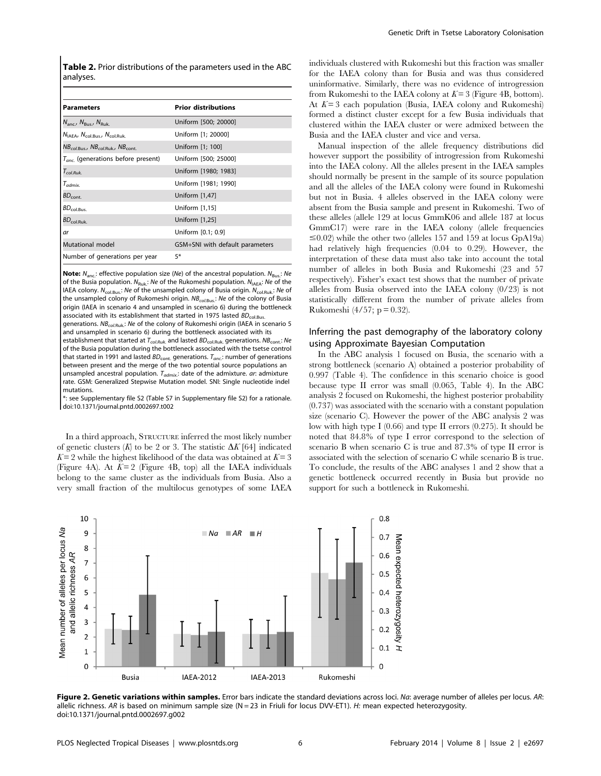Table 2. Prior distributions of the parameters used in the ABC analyses.

| <b>Parameters</b>                                               | <b>Prior distributions</b>      |
|-----------------------------------------------------------------|---------------------------------|
| $N_{\text{anc}}$ , $N_{\text{Bus}}$ , $N_{\text{Ruk}}$          | Uniform [500; 20000]            |
| $N_{IAEA}$ , $N_{col.Bus}$ , $N_{col.Ruk}$                      | Uniform [1; 20000]              |
| $NB_{col\, \text{Rus}}$ , $NB_{col\, \text{Ruk}}$ , $NB_{cont}$ | Uniform [1; 100]                |
| $T_{anc}$ (generations before present)                          | Uniform [500; 25000]            |
| $T_{col-Ruk}$                                                   | Uniform [1980; 1983]            |
| $T_{admix.}$                                                    | Uniform [1981; 1990]            |
| $BD_{\rm cont.}$                                                | Uniform $[1,47]$                |
| $BD_{\text{col. Bus.}}$                                         | Uniform [1,15]                  |
| BD <sub>coll.Ruk.</sub>                                         | Uniform [1,25]                  |
| ar                                                              | Uniform [0.1; 0.9]              |
| <b>Mutational model</b>                                         | GSM+SNI with default parameters |
| Number of generations per year                                  | 5*                              |
|                                                                 |                                 |

**Note:**  $N_{\text{anc}}$ : effective population size (Ne) of the ancestral population.  $N_{\text{Bus}}$ : Ne of the Busia population.  $N_{\text{Ruk}}$ : Ne of the Rukomeshi population.  $N_{\text{AFA}}$ : Ne of the IAEA colony.  $N_{\text{col.Bus.}:}$  Ne of the unsampled colony of Busia origin.  $N_{\text{col.Ruk.}:}$  Ne of the unsampled colony of Rukomeshi origin.  $NB_{col. Bus.}:$  Ne of the colony of Busia origin (IAEA in scenario 4 and unsampled in scenario 6) during the bottleneck associated with its establishment that started in 1975 lasted  $BD_{\text{col.Bus}}$ generations.  $NB_{colRuk}$ : Ne of the colony of Rukomeshi origin (IAEA in scenario 5

and unsampled in scenario 6) during the bottleneck associated with its establishment that started at  $T_{col.Ruk.}$  and lasted  $BD_{col.Ruk.}$  generations.  $NB_{cont.}$ : Ne of the Busia population during the bottleneck associated with the tsetse control that started in 1991 and lasted  $BD_{\text{cont.}}$  generations.  $T_{\text{anc.}}$ : number of generations between present and the merge of the two potential source populations an unsampled ancestral population.  $T_{admix}$ : date of the admixture. ar: admixture rate. GSM: Generalized Stepwise Mutation model. SNI: Single nucleotide indel mutations.

\*: see Supplementary file S2 (Table S7 in Supplementary file S2) for a rationale. doi:10.1371/journal.pntd.0002697.t002

In a third approach, STRUCTURE inferred the most likely number of genetic clusters  $(K)$  to be 2 or 3. The statistic  $\Delta K$  [64] indicated  $K = 2$  while the highest likelihood of the data was obtained at  $K = 3$ (Figure 4A). At  $K=2$  (Figure 4B, top) all the IAEA individuals belong to the same cluster as the individuals from Busia. Also a very small fraction of the multilocus genotypes of some IAEA individuals clustered with Rukomeshi but this fraction was smaller for the IAEA colony than for Busia and was thus considered uninformative. Similarly, there was no evidence of introgression from Rukomeshi to the IAEA colony at  $K=3$  (Figure 4B, bottom). At  $K=3$  each population (Busia, IAEA colony and Rukomeshi) formed a distinct cluster except for a few Busia individuals that clustered within the IAEA cluster or were admixed between the Busia and the IAEA cluster and vice and versa.

Manual inspection of the allele frequency distributions did however support the possibility of introgression from Rukomeshi into the IAEA colony. All the alleles present in the IAEA samples should normally be present in the sample of its source population and all the alleles of the IAEA colony were found in Rukomeshi but not in Busia. 4 alleles observed in the IAEA colony were absent from the Busia sample and present in Rukomeshi. Two of these alleles (allele 129 at locus GmmK06 and allele 187 at locus GmmC17) were rare in the IAEA colony (allele frequencies  $\leq$ 0.02) while the other two (alleles 157 and 159 at locus GpA19a) had relatively high frequencies (0.04 to 0.29). However, the interpretation of these data must also take into account the total number of alleles in both Busia and Rukomeshi (23 and 57 respectively). Fisher's exact test shows that the number of private alleles from Busia observed into the IAEA colony (0/23) is not statistically different from the number of private alleles from Rukomeshi (4/57;  $p = 0.32$ ).

## Inferring the past demography of the laboratory colony using Approximate Bayesian Computation

In the ABC analysis 1 focused on Busia, the scenario with a strong bottleneck (scenario A) obtained a posterior probability of 0.997 (Table 4). The confidence in this scenario choice is good because type II error was small (0.065, Table 4). In the ABC analysis 2 focused on Rukomeshi, the highest posterior probability (0.737) was associated with the scenario with a constant population size (scenario C). However the power of the ABC analysis 2 was low with high type I (0.66) and type II errors (0.275). It should be noted that 84.8% of type I error correspond to the selection of scenario B when scenario C is true and 87.3% of type II error is associated with the selection of scenario C while scenario B is true. To conclude, the results of the ABC analyses 1 and 2 show that a genetic bottleneck occurred recently in Busia but provide no support for such a bottleneck in Rukomeshi.



Figure 2. Genetic variations within samples. Error bars indicate the standard deviations across loci. Na: average number of alleles per locus. AR: allelic richness. AR is based on minimum sample size  $(N = 23$  in Friuli for locus DVV-ET1). H: mean expected heterozygosity. doi:10.1371/journal.pntd.0002697.g002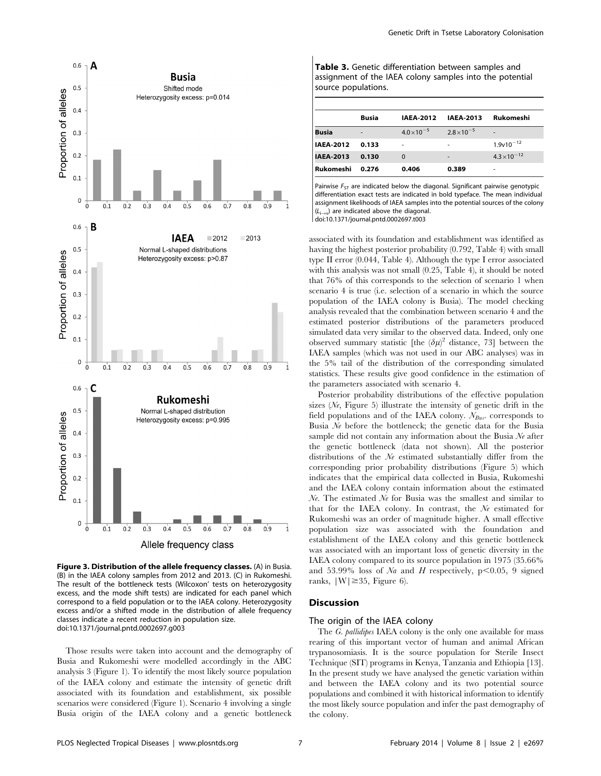

Figure 3. Distribution of the allele frequency classes. (A) in Busia. (B) in the IAEA colony samples from 2012 and 2013. (C) in Rukomeshi. The result of the bottleneck tests (Wilcoxon' tests on heterozygosity excess, and the mode shift tests) are indicated for each panel which correspond to a field population or to the IAEA colony. Heterozygosity excess and/or a shifted mode in the distribution of allele frequency classes indicate a recent reduction in population size. doi:10.1371/journal.pntd.0002697.g003

Those results were taken into account and the demography of Busia and Rukomeshi were modelled accordingly in the ABC analysis 3 (Figure 1). To identify the most likely source population of the IAEA colony and estimate the intensity of genetic drift associated with its foundation and establishment, six possible scenarios were considered (Figure 1). Scenario 4 involving a single Busia origin of the IAEA colony and a genetic bottleneck Table 3. Genetic differentiation between samples and assignment of the IAEA colony samples into the potential source populations.

|                  | <b>Busia</b>   | <b>IAEA-2012</b>     | <b>IAEA-2013</b>             | Rukomeshi                |
|------------------|----------------|----------------------|------------------------------|--------------------------|
| <b>Busia</b>     | $\overline{a}$ | $4.0 \times 10^{-5}$ | $2.8 \times 10^{-5}$         | $\overline{\phantom{a}}$ |
| <b>IAEA-2012</b> | 0.133          | ۰                    | $\overline{\phantom{a}}$     | $1.9v10^{-12}$           |
| <b>IAEA-2013</b> | 0.130          | $\Omega$             | $\qquad \qquad \blacksquare$ | $4.3 \times 10^{-12}$    |
| Rukomeshi        | 0.276          | 0.406                | 0.389                        |                          |

Pairwise  $F_{ST}$  are indicated below the diagonal. Significant pairwise genotypic differentiation exact tests are indicated in bold typeface. The mean individual assignment likelihoods of IAEA samples into the potential sources of the colony  $(L<sub>i</sub>,c)$  are indicated above the diagonal doi:10.1371/journal.pntd.0002697.t003

associated with its foundation and establishment was identified as having the highest posterior probability (0.792, Table 4) with small type II error (0.044, Table 4). Although the type I error associated with this analysis was not small (0.25, Table 4), it should be noted that 76% of this corresponds to the selection of scenario 1 when scenario 4 is true (i.e. selection of a scenario in which the source population of the IAEA colony is Busia). The model checking analysis revealed that the combination between scenario 4 and the estimated posterior distributions of the parameters produced simulated data very similar to the observed data. Indeed, only one observed summary statistic [the  $(\delta \mu)^2$  distance, 73] between the IAEA samples (which was not used in our ABC analyses) was in the 5% tail of the distribution of the corresponding simulated statistics. These results give good confidence in the estimation of the parameters associated with scenario 4.

Posterior probability distributions of the effective population sizes  $(N_e,$  Figure 5) illustrate the intensity of genetic drift in the field populations and of the IAEA colony.  $N_{BUS}$  corresponds to Busia  $\mathcal N_e$  before the bottleneck; the genetic data for the Busia sample did not contain any information about the Busia  $N_e$  after the genetic bottleneck (data not shown). All the posterior distributions of the Ne estimated substantially differ from the corresponding prior probability distributions (Figure 5) which indicates that the empirical data collected in Busia, Rukomeshi and the IAEA colony contain information about the estimated  $N_e$ . The estimated  $N_e$  for Busia was the smallest and similar to that for the IAEA colony. In contrast, the Ne estimated for Rukomeshi was an order of magnitude higher. A small effective population size was associated with the foundation and establishment of the IAEA colony and this genetic bottleneck was associated with an important loss of genetic diversity in the IAEA colony compared to its source population in 1975 (35.66% and 53.99% loss of Na and H respectively,  $p<0.05$ , 9 signed ranks,  $|W| \geq 35$ , Figure 6).

## **Discussion**

#### The origin of the IAEA colony

The G. pallidipes IAEA colony is the only one available for mass rearing of this important vector of human and animal African trypanosomiasis. It is the source population for Sterile Insect Technique (SIT) programs in Kenya, Tanzania and Ethiopia [13]. In the present study we have analysed the genetic variation within and between the IAEA colony and its two potential source populations and combined it with historical information to identify the most likely source population and infer the past demography of the colony.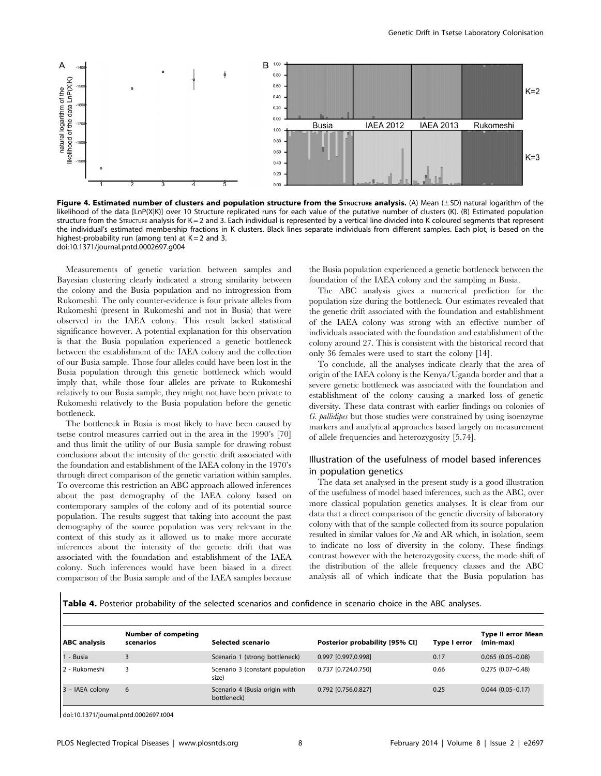

Figure 4. Estimated number of clusters and population structure from the STRUCTURE analysis. (A) Mean ( $\pm$ SD) natural logarithm of the likelihood of the data [LnP(X|K)] over 10 Structure replicated runs for each value of the putative number of clusters (K). (B) Estimated population structure from the STRUCTURE analysis for K = 2 and 3. Each individual is represented by a vertical line divided into K coloured segments that represent the individual's estimated membership fractions in K clusters. Black lines separate individuals from different samples. Each plot, is based on the highest-probability run (among ten) at  $K = 2$  and 3. doi:10.1371/journal.pntd.0002697.g004

Measurements of genetic variation between samples and Bayesian clustering clearly indicated a strong similarity between the colony and the Busia population and no introgression from Rukomeshi. The only counter-evidence is four private alleles from Rukomeshi (present in Rukomeshi and not in Busia) that were observed in the IAEA colony. This result lacked statistical significance however. A potential explanation for this observation is that the Busia population experienced a genetic bottleneck between the establishment of the IAEA colony and the collection of our Busia sample. Those four alleles could have been lost in the Busia population through this genetic bottleneck which would imply that, while those four alleles are private to Rukomeshi relatively to our Busia sample, they might not have been private to Rukomeshi relatively to the Busia population before the genetic bottleneck.

The bottleneck in Busia is most likely to have been caused by tsetse control measures carried out in the area in the 1990's [70] and thus limit the utility of our Busia sample for drawing robust conclusions about the intensity of the genetic drift associated with the foundation and establishment of the IAEA colony in the 1970's through direct comparison of the genetic variation within samples. To overcome this restriction an ABC approach allowed inferences about the past demography of the IAEA colony based on contemporary samples of the colony and of its potential source population. The results suggest that taking into account the past demography of the source population was very relevant in the context of this study as it allowed us to make more accurate inferences about the intensity of the genetic drift that was associated with the foundation and establishment of the IAEA colony. Such inferences would have been biased in a direct comparison of the Busia sample and of the IAEA samples because

the Busia population experienced a genetic bottleneck between the foundation of the IAEA colony and the sampling in Busia.

The ABC analysis gives a numerical prediction for the population size during the bottleneck. Our estimates revealed that the genetic drift associated with the foundation and establishment of the IAEA colony was strong with an effective number of individuals associated with the foundation and establishment of the colony around 27. This is consistent with the historical record that only 36 females were used to start the colony [14].

To conclude, all the analyses indicate clearly that the area of origin of the IAEA colony is the Kenya/Uganda border and that a severe genetic bottleneck was associated with the foundation and establishment of the colony causing a marked loss of genetic diversity. These data contrast with earlier findings on colonies of G. pallidipes but those studies were constrained by using isoenzyme markers and analytical approaches based largely on measurement of allele frequencies and heterozygosity [5,74].

## Illustration of the usefulness of model based inferences in population genetics

The data set analysed in the present study is a good illustration of the usefulness of model based inferences, such as the ABC, over more classical population genetics analyses. It is clear from our data that a direct comparison of the genetic diversity of laboratory colony with that of the sample collected from its source population resulted in similar values for Na and AR which, in isolation, seem to indicate no loss of diversity in the colony. These findings contrast however with the heterozygosity excess, the mode shift of the distribution of the allele frequency classes and the ABC analysis all of which indicate that the Busia population has

Table 4. Posterior probability of the selected scenarios and confidence in scenario choice in the ABC analyses.

| <b>Number of competing</b><br>scenarios | Selected scenario                            | Posterior probability [95% CI] | Type I error | <b>Type II error Mean</b><br>(min-max) |
|-----------------------------------------|----------------------------------------------|--------------------------------|--------------|----------------------------------------|
|                                         | Scenario 1 (strong bottleneck)               | 0.997 [0.997,0.998]            | 0.17         | $0.065(0.05-0.08)$                     |
|                                         | Scenario 3 (constant population<br>size)     | 0.737 [0.724.0.750]            | 0.66         | $0.275(0.07-0.48)$                     |
| 6                                       | Scenario 4 (Busia origin with<br>bottleneck) | 0.792 [0.756.0.827]            | 0.25         | $0.044(0.05 - 0.17)$                   |
|                                         |                                              |                                |              |                                        |

doi:10.1371/journal.pntd.0002697.t004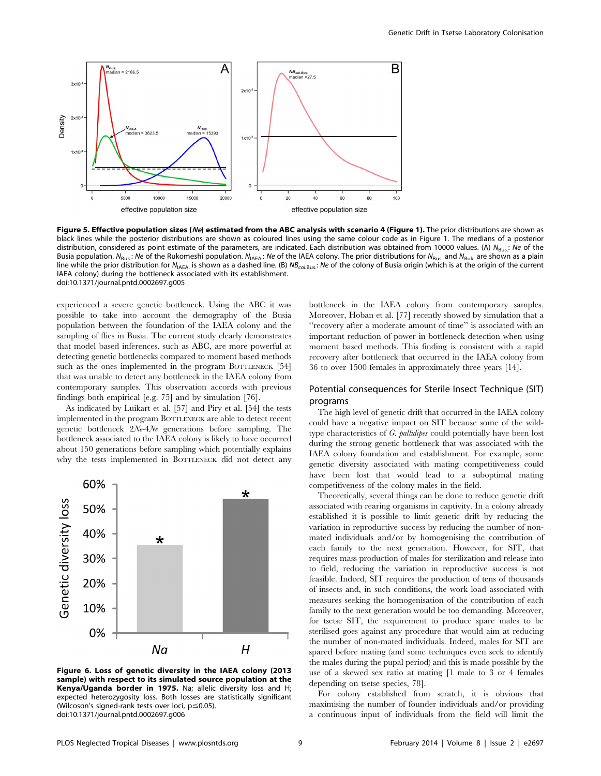

Figure 5. Effective population sizes (Ne) estimated from the ABC analysis with scenario 4 (Figure 1). The prior distributions are shown as black lines while the posterior distributions are shown as coloured lines using the same colour code as in Figure 1. The medians of a posterior distribution, considered as point estimate of the parameters, are indicated. Each distribution was obtained from 10000 values. (A)  $N_{\text{Buz}}$ : Ne of the Busia population. N<sub>Ruk</sub>: Ne of the Rukomeshi population. N<sub>IAEA</sub>: Ne of the IAEA colony. The prior distributions for N<sub>Bus</sub>, and N<sub>Ruk</sub> are shown as a plain line while the prior distribution for N<sub>IAEA</sub> is shown as a dashed line. (B)  $NB_{col, Bus}$ : Ne of the colony of Busia origin (which is at the origin of the current IAEA colony) during the bottleneck associated with its establishment. doi:10.1371/journal.pntd.0002697.g005

experienced a severe genetic bottleneck. Using the ABC it was possible to take into account the demography of the Busia population between the foundation of the IAEA colony and the sampling of flies in Busia. The current study clearly demonstrates that model based inferences, such as ABC, are more powerful at detecting genetic bottlenecks compared to moment based methods such as the ones implemented in the program BOTTLENECK [54] that was unable to detect any bottleneck in the IAEA colony from contemporary samples. This observation accords with previous findings both empirical [e.g. 75] and by simulation [76].

As indicated by Luikart et al. [57] and Piry et al. [54] the tests implemented in the program BOTTLENECK are able to detect recent genetic bottleneck 2Ne-4Ne generations before sampling. The bottleneck associated to the IAEA colony is likely to have occurred about 150 generations before sampling which potentially explains why the tests implemented in BOTTLENECK did not detect any



Figure 6. Loss of genetic diversity in the IAEA colony (2013 sample) with respect to its simulated source population at the Kenya/Uganda border in 1975. Na; allelic diversity loss and H; expected heterozygosity loss. Both losses are statistically significant (Wilcoson's signed-rank tests over loci,  $p \le 0.05$ ). doi:10.1371/journal.pntd.0002697.g006

bottleneck in the IAEA colony from contemporary samples. Moreover, Hoban et al. [77] recently showed by simulation that a ''recovery after a moderate amount of time'' is associated with an important reduction of power in bottleneck detection when using moment based methods. This finding is consistent with a rapid recovery after bottleneck that occurred in the IAEA colony from 36 to over 1500 females in approximately three years [14].

## Potential consequences for Sterile Insect Technique (SIT) programs

The high level of genetic drift that occurred in the IAEA colony could have a negative impact on SIT because some of the wildtype characteristics of G. pallidipes could potentially have been lost during the strong genetic bottleneck that was associated with the IAEA colony foundation and establishment. For example, some genetic diversity associated with mating competitiveness could have been lost that would lead to a suboptimal mating competitiveness of the colony males in the field.

Theoretically, several things can be done to reduce genetic drift associated with rearing organisms in captivity. In a colony already established it is possible to limit genetic drift by reducing the variation in reproductive success by reducing the number of nonmated individuals and/or by homogenising the contribution of each family to the next generation. However, for SIT, that requires mass production of males for sterilization and release into to field, reducing the variation in reproductive success is not feasible. Indeed, SIT requires the production of tens of thousands of insects and, in such conditions, the work load associated with measures seeking the homogenisation of the contribution of each family to the next generation would be too demanding. Moreover, for tsetse SIT, the requirement to produce spare males to be sterilised goes against any procedure that would aim at reducing the number of non-mated individuals. Indeed, males for SIT are spared before mating (and some techniques even seek to identify the males during the pupal period) and this is made possible by the use of a skewed sex ratio at mating [1 male to 3 or 4 females depending on tsetse species, 78].

For colony established from scratch, it is obvious that maximising the number of founder individuals and/or providing a continuous input of individuals from the field will limit the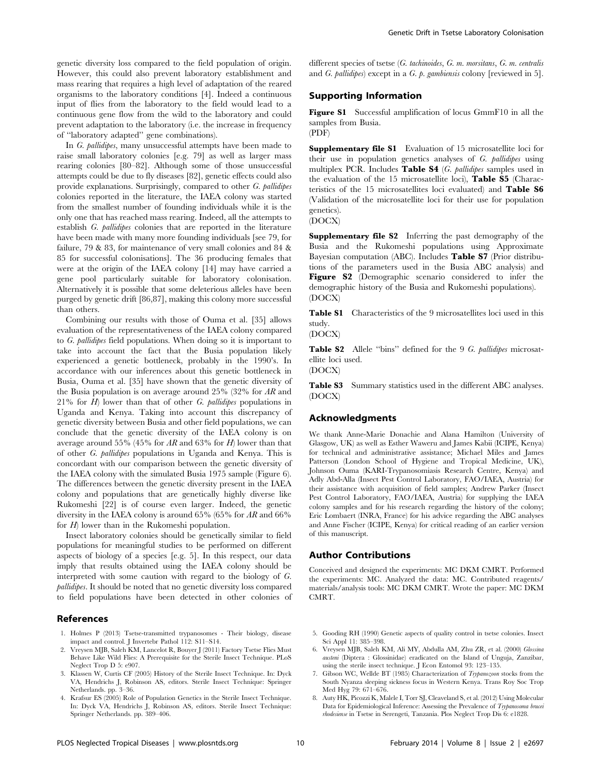genetic diversity loss compared to the field population of origin. However, this could also prevent laboratory establishment and mass rearing that requires a high level of adaptation of the reared organisms to the laboratory conditions [4]. Indeed a continuous input of flies from the laboratory to the field would lead to a continuous gene flow from the wild to the laboratory and could prevent adaptation to the laboratory (i.e. the increase in frequency of ''laboratory adapted'' gene combinations).

In G. pallidipes, many unsuccessful attempts have been made to raise small laboratory colonies [e.g. 79] as well as larger mass rearing colonies [80–82]. Although some of those unsuccessful attempts could be due to fly diseases [82], genetic effects could also provide explanations. Surprisingly, compared to other G. pallidipes colonies reported in the literature, the IAEA colony was started from the smallest number of founding individuals while it is the only one that has reached mass rearing. Indeed, all the attempts to establish G. pallidipes colonies that are reported in the literature have been made with many more founding individuals [see 79, for failure, 79 & 83, for maintenance of very small colonies and 84 & 85 for successful colonisations]. The 36 producing females that were at the origin of the IAEA colony [14] may have carried a gene pool particularly suitable for laboratory colonisation. Alternatively it is possible that some deleterious alleles have been purged by genetic drift [86,87], making this colony more successful than others.

Combining our results with those of Ouma et al. [35] allows evaluation of the representativeness of the IAEA colony compared to G. pallidipes field populations. When doing so it is important to take into account the fact that the Busia population likely experienced a genetic bottleneck, probably in the 1990's. In accordance with our inferences about this genetic bottleneck in Busia, Ouma et al. [35] have shown that the genetic diversity of the Busia population is on average around 25% (32% for AR and  $21\%$  for H) lower than that of other G. pallidipes populations in Uganda and Kenya. Taking into account this discrepancy of genetic diversity between Busia and other field populations, we can conclude that the genetic diversity of the IAEA colony is on average around 55% (45% for AR and 63% for H) lower than that of other G. pallidipes populations in Uganda and Kenya. This is concordant with our comparison between the genetic diversity of the IAEA colony with the simulated Busia 1975 sample (Figure 6). The differences between the genetic diversity present in the IAEA colony and populations that are genetically highly diverse like Rukomeshi [22] is of course even larger. Indeed, the genetic diversity in the IAEA colony is around 65% (65% for AR and 66% for  $H$ ) lower than in the Rukomeshi population.

Insect laboratory colonies should be genetically similar to field populations for meaningful studies to be performed on different aspects of biology of a species [e.g. 5]. In this respect, our data imply that results obtained using the IAEA colony should be interpreted with some caution with regard to the biology of G. pallidipes. It should be noted that no genetic diversity loss compared to field populations have been detected in other colonies of

#### References

- 1. Holmes P (2013) Tsetse-transmitted trypanosomes Their biology, disease impact and control. J Invertebr Pathol 112: S11–S14.
- 2. Vreysen MJB, Saleh KM, Lancelot R, Bouyer J (2011) Factory Tsetse Flies Must Behave Like Wild Flies: A Prerequisite for the Sterile Insect Technique. PLoS Neglect Trop D 5: e907.
- 3. Klassen W, Curtis CF (2005) History of the Sterile Insect Technique. In: Dyck VA, Hendrichs J, Robinson AS, editors. Sterile Insect Technique: Springer Netherlands. pp. 3–36.
- 4. Krafsur ES (2005) Role of Population Genetics in the Sterile Insect Technique. In: Dyck VA, Hendrichs J, Robinson AS, editors. Sterile Insect Technique: Springer Netherlands. pp. 389–406.

different species of tsetse (G. tachinoides, G. m. morsitans, G. m. centralis and *G. pallidipes*) except in a *G. p. gambiensis* colony [reviewed in 5].

## Supporting Information

Figure S1 Successful amplification of locus GmmF10 in all the samples from Busia. (PDF)

Supplementary file S1 Evaluation of 15 microsatellite loci for their use in population genetics analyses of G. pallidipes using multiplex PCR. Includes Table S4 (G. pallidipes samples used in the evaluation of the 15 microsatellite loci), Table S5 (Characteristics of the 15 microsatellites loci evaluated) and Table S6 (Validation of the microsatellite loci for their use for population genetics).

(DOCX)

Supplementary file S2 Inferring the past demography of the Busia and the Rukomeshi populations using Approximate Bayesian computation (ABC). Includes Table S7 (Prior distributions of the parameters used in the Busia ABC analysis) and Figure S2 (Demographic scenario considered to infer the demographic history of the Busia and Rukomeshi populations). (DOCX)

Table S1 Characteristics of the 9 microsatellites loci used in this study.

(DOCX)

Table S2 Allele "bins" defined for the 9 G. pallidipes microsatellite loci used.

(DOCX)

Table S3 Summary statistics used in the different ABC analyses. (DOCX)

#### Acknowledgments

We thank Anne-Marie Donachie and Alana Hamilton (University of Glasgow, UK) as well as Esther Waweru and James Kabii (ICIPE, Kenya) for technical and administrative assistance; Michael Miles and James Patterson (London School of Hygiene and Tropical Medicine, UK), Johnson Ouma (KARI-Trypanosomiasis Research Centre, Kenya) and Adly Abd-Alla (Insect Pest Control Laboratory, FAO/IAEA, Austria) for their assistance with acquisition of field samples; Andrew Parker (Insect Pest Control Laboratory, FAO/IAEA, Austria) for supplying the IAEA colony samples and for his research regarding the history of the colony; Eric Lombaert (INRA, France) for his advice regarding the ABC analyses and Anne Fischer (ICIPE, Kenya) for critical reading of an earlier version of this manuscript.

#### Author Contributions

Conceived and designed the experiments: MC DKM CMRT. Performed the experiments: MC. Analyzed the data: MC. Contributed reagents/ materials/analysis tools: MC DKM CMRT. Wrote the paper: MC DKM CMRT.

- 5. Gooding RH (1990) Genetic aspects of quality control in tsetse colonies. Insect Sci Appl 11: 385–398.
- 6. Vreysen MJB, Saleh KM, Ali MY, Abdulla AM, Zhu ZR, et al. (2000) Glossina austeni (Diptera : Glossinidae) eradicated on the Island of Unguja, Zanzibar, using the sterile insect technique. J Econ Entomol 93: 123–135.
- 7. Gibson WC, Wellde BT (1985) Characterization of Trypanozoon stocks from the South Nyanza sleeping sickness focus in Western Kenya. Trans Roy Soc Trop Med Hyg 79: 671–676.
- 8. Auty HK, Picozzi K, Malele I, Torr SJ, Cleaveland S, et al. (2012) Using Molecular Data for Epidemiological Inference: Assessing the Prevalence of Trypanosoma brucei rhodesiense in Tsetse in Serengeti, Tanzania. Plos Neglect Trop Dis 6: e1828.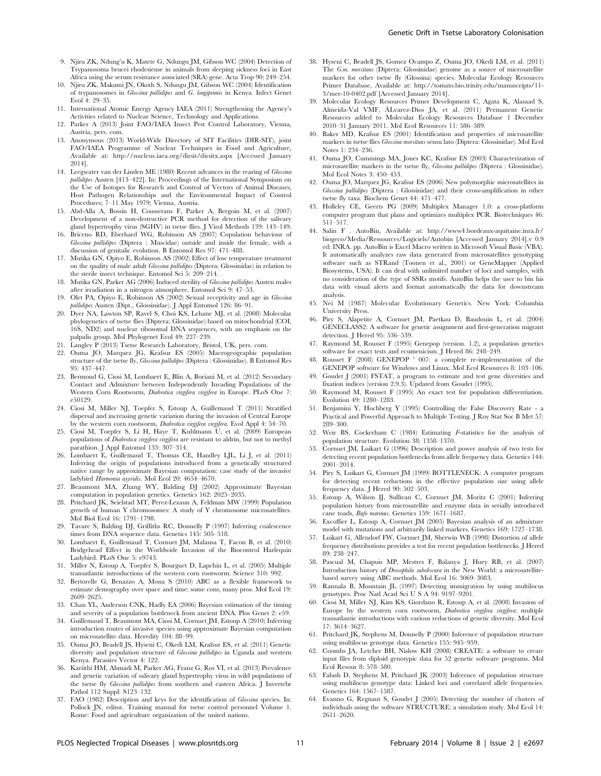- 9. Njiru ZK, Ndung'u K, Matete G, Ndungu JM, Gibson WC (2004) Detection of Trypanosoma brucei rhodesiense in animals from sleeping sickness foci in East Africa using the serum resistance associated (SRA) gene. Acta Trop 90: 249–254.
- 10. Njiru ZK, Makumi JN, Okoth S, Ndungu JM, Gibson WC (2004) Identification of trypanosomes in Glossina pallidipes and G. longipennis in Kenya. Infect Genet Evol 4: 29–35.
- 11. International Atomic Energy Agency IAEA (2011) Strengthening the Agency's Activities related to Nuclear Science, Technology and Applications.
- 12. Parker A (2013) Joint FAO/IAEA Insect Pest Control Laboratory, Vienna, Austria, pers. com.
- 13. Anonymous (2013) World-Wide Directory of SIT Facilities (DIR-SIT), joint FAO/IAEA Programme of Nuclear Techniques in Food and Agriculture, Available at: http://nucleus.iaea.org/dirsit/dirsitx.aspx [Accessed January 2014].
- 14. Leegwater van der Linden ME (1980) Recent advances in the rearing of Glossina pallidipes Austen [413–422]. In: Proceedings of the International Symposium on the Use of Isotopes for Research and Control of Vectors of Animal Diseases, Host Pathogen Relationships and the Environmental Impact of Control Procedures; 7–11 May 1979; Vienna, Austria.
- 15. Abd-Alla A, Bossin H, Cousserans F, Parker A, Bergoin M, et al. (2007) Development of a non-destructive PCR method for detection of the salivary gland hypertrophy virus (SGHV) in tsetse flies. J Virol Methods 139: 143–149.
- 16. Briceno RD, Eberhard WG, Robinson AS (2007) Copulation behaviour of Glossina pallidipes (Diptera : Muscidae) outside and inside the female, with a discussion of genitalic evolution. B Entomol Res 97: 471–488.
- 17. Mutika GN, Opiyo E, Robinson AS (2002) Effect of low temperature treatment on the quality of male adult Glossina pallidipes (Diptera: Glossinidae) in relation to the sterile insect technique. Entomol Sci 5: 209–214.
- 18. Mutika GN, Parker AG (2006) Induced sterility of Glossina pallidipes Austen males after irradiation in a nitrogen atmosphere. Entomol Sci 9: 47–53.
- 19. Olet PA, Opiyo E, Robinson AS (2002) Sexual receptivity and age in Glossina pallidipes Austen (Dipt., Glossinidae). J Appl Entomol 126: 86–91.
- 20. Dyer NA, Lawton SP, Ravel S, Choi KS, Lehane MJ, et al. (2008) Molecular phylogenetics of tsetse flies (Diptera: Glossinidae) based on mitochondrial (COI, 16S, ND2) and nuclear ribosomal DNA sequences, with an emphasis on the palpalis group. Mol Phylogenet Evol 49: 227–239.
- 21. Langley P (2013) Tsetse Research Laboratory, Bristol, UK, pers. com.
- 22. Ouma JO, Marquez JG, Krafsur ES (2005) Macrogeographic population structure of the tsetse fly, Glossina pallidipes (Diptera : Glossinidae). B Entomol Res 95: 437–447.
- 23. Bermond G, Ciosi M, Lombaert E, Blin A, Boriani M, et al. (2012) Secondary Contact and Admixture between Independently Invading Populations of the Western Corn Rootworm, Diabrotica virgifera virgifera in Europe. PLoS One 7: e50129.
- 24. Ciosi M, Miller NJ, Toepfer S, Estoup A, Guillemaud T (2011) Stratified dispersal and increasing genetic variation during the invasion of Central Europe by the western corn rootworm, Diabrotica virgifera virgifera. Evol Appl 4: 54–70.
- 25. Ciosi M, Toepfer S, Li H, Haye T, Kuhlmann U, et al. (2009) European populations of Diabrotica virgifera virgifera are resistant to aldrin, but not to methyl parathion. J Appl Entomol 133: 307–314.
- 26. Lombaert E, Guillemaud T, Thomas CE, Handley LJL, Li J, et al. (2011) Inferring the origin of populations introduced from a genetically structured native range by approximate Bayesian computation: case study of the invasive ladybird Harmonia axyridis. Mol Ecol 20: 4654–4670.
- 27. Beaumont MA, Zhang WY, Balding DJ (2002) Approximate Bayesian computation in population genetics. Genetics 162: 2025–2035.
- 28. Pritchard JK, Seielstad MT, Perez-Lezaun A, Feldman MW (1999) Population growth of human Y chromosomes: A study of Y chromosome microsatellites. Mol Biol Evol 16: 1791–1798.
- 29. Tavare S, Balding DJ, Griffiths RC, Donnelly P (1997) Inferring coalescence times from DNA sequence data. Genetics 145: 505–518.
- 30. Lombaert E, Guillemaud T, Cornuet JM, Malausa T, Facon B, et al. (2010) Bridgehead Effect in the Worldwide Invasion of the Biocontrol Harlequin Ladybird. PLoS One 5: e9743.
- 31. Miller N, Estoup A, Toepfer S, Bourguet D, Lapchin L, et al. (2005) Multiple transatlantic introductions of the western corn rootworm. Science 310: 992.
- 32. Bertorelle G, Benazzo A, Mona S (2010) ABC as a flexible framework to estimate demography over space and time: some cons, many pros. Mol Ecol 19: 2609–2625.
- 33. Chan YL, Anderson CNK, Hadly EA (2006) Bayesian estimation of the timing and severity of a population bottleneck from ancient DNA. Plos Genet 2: e59.
- 34. Guillemaud T, Beaumont MA, Ciosi M, Cornuet JM, Estoup A (2010) Inferring introduction routes of invasive species using approximate Bayesian computation on microsatellite data. Heredity 104: 88–99.
- 35. Ouma JO, Beadell JS, Hyseni C, Okedi LM, Krafsur ES, et al. (2011) Genetic diversity and population structure of Glossina pallidipes in Uganda and western Kenya. Parasites Vector 4: 122.
- 36. Kariithi HM, Ahmadi M, Parker AG, Franz G, Ros VI, et al. (2013) Prevalence and genetic variation of salivary gland hypertrophy virus in wild populations of the tsetse fly Glossina pallidipes from southern and eastern Africa. J Invertebr Pathol 112 Suppl: S123–132.
- 37. FAO (1982) Description and keys for the identification of Glossina species. In: Pollock JN, editor. Training manual for tsetse control personnel Volume 1. Rome: Food and agriculture organization of the united nations.
- 38. Hyseni C, Beadell JS, Gomez Ocampo Z, Ouma JO, Okedi LM, et al. (2011) The G.m. morsitans (Diptera: Glossinidae) genome as a source of microsatellite markers for other tsetse fly (Glossina) species. Molecular Ecology Resources Primer Database, Available at: http://tomato.bio.trinity.edu/manuscripts/11- 3/mer-10-0402.pdf [Accessed January 2014].
- 39. Molecular Ecology Resources Primer Development C, Agata K, Alasaad S, Almeida-Val VMF, ÁLvarez-Dios JA, et al. (2011) Permanent Genetic Resources added to Molecular Ecology Resources Database 1 December 2010–31 January 2011. Mol Ecol Resources 11: 586–589.
- 40. Baker MD, Krafsur ES (2001) Identification and properties of microsatellite markers in tsetse flies Glossina morsitans sensu lato (Diptera: Glossinidae). Mol Ecol Notes 1: 234–236.
- 41. Ouma JO, Cummings MA, Jones KC, Krafsur ES (2003) Characterization of microsatellite markers in the tsetse fly, Glossina pallidipes (Diptera : Glossinidae). Mol Ecol Notes 3: 450–453.
- 42. Ouma JO, Marquez JG, Krafsur ES (2006) New polymorphic microsatellites in Glossina pallidipes (Diptera : Glossinidae) and their cross-amplification in other tsetse fly taxa. Biochem Genet 44: 471–477.
- 43. Holleley CE, Geerts PG (2009) Multiplex Manager 1.0: a cross-platform computer program that plans and optimizes multiplex PCR. Biotechniques 46: 511–517.
- 44. Salin F . AutoBin, Available at: http://www4.bordeaux-aquitaine.inra.fr/ biogeco/Media/Ressources/Logiciels/Autobin [Accessed January 2014].v 0.9 ed: INRA. pp. AutoBin is Excel Macro written in Microsoft Visual Basic (VBA). It automatically analyzes raw data generated from microsatellites genotyping software such as STRand (Toonen et al., 2001) or GeneMapper (Applied Biosystems, USA). It can deal with unlimited number of loci and samples, with no consideration of the type of SSRs motifs. AutoBin helps the user to bin his data with visual alerts and format automatically the data for downstream analysis.
- 45. Nei M (1987) Molecular Evolutionary Genetics. New York: Columbia University Press.
- 46. Piry S, Alapetite A, Cornuet JM, Paetkau D, Baudouin L, et al. (2004) GENECLASS2: A software for genetic assignment and first-generation migrant detection. J Hered 95: 536–539.
- 47. Raymond M, Rousset F (1995) Genepop (version. 1.2), a population genetics software for exact tests and ecumenicism. J Hered 86: 248–249.
- 48. Rousset F (2008) GENEPOP ' 007: a complete re-implementation of the GENEPOP software for Windows and Linux. Mol Ecol Resources 8: 103–106.
- 49. Goudet J (2001) FSTAT, a program to estimate and test gene diversities and fixation indices (version 2.9.3). Updated from Goudet (1995).
- 50. Raymond M, Rousset F (1995) An exact test for population differentiation. Evolution 49: 1280–1283.
- 51. Benjamini Y, Hochberg Y (1995) Controlling the False Discovery Rate a Practical and Powerful Approach to Multiple Testing. J Roy Stat Soc B Met 57: 289–300.
- 52. Weir BS, Cockerham C (1984) Estimating F-statistics for the analysis of population structure. Evolution 38: 1358–1370.
- 53. Cornuet JM, Luikart G (1996) Description and power analysis of two tests for detecting recent population bottlenecks from allele frequency data. Genetics 144: 2001–2014.
- 54. Piry S, Luikart G, Cornuet JM (1999) BOTTLENECK: A computer program for detecting recent reductions in the effective population size using allele frequency data. J Hered 90: 502–503.
- 55. Estoup A, Wilson IJ, Sullivan C, Cornuet JM, Moritz C (2001) Inferring population history from microsatellite and enzyme data in serially introduced cane toads, Bufo marinus. Genetics 159: 1671–1687.
- 56. Excoffier L, Estoup A, Cornuet JM (2005) Bayesian analysis of an admixture model with mutations and arbitrarily linked markers. Genetics 169: 1727–1738.
- 57. Luikart G, Allendorf FW, Cornuet JM, Sherwin WB (1998) Distortion of allele frequency distributions provides a test for recent population bottlenecks. J Hered 89: 238–247.
- 58. Pascual M, Chapuis MP, Mestres F, Balanya J, Huey RB, et al. (2007) Introduction history of Drosophila subobscura in the New World: a microsatellitebased survey using ABC methods. Mol Ecol 16: 3069–3083.
- 59. Rannala B, Mountain JL (1997) Detecting immigration by using multilocus genotypes. Proc Natl Acad Sci U S A 94: 9197–9201.
- 60. Ciosi M, Miller NJ, Kim KS, Giordano R, Estoup A, et al. (2008) Invasion of Europe by the western corn rootworm, Diabrotica virgifera virgifera: multiple transatlantic introductions with various reductions of genetic diversity. Mol Ecol 17: 3614–3627.
- 61. Pritchard JK, Stephens M, Donnelly P (2000) Inference of population structure using multilocus genotype data. Genetics 155: 945–959.
- 62. Coombs JA, Letcher BH, Nislow KH (2008) CREATE: a software to create input files from diploid genotypic data for 52 genetic software programs. Mol Ecol Resour 8: 578–580.
- 63. Falush D, Stephens M, Pritchard JK (2003) Inference of population structure using multilocus genotype data: Linked loci and correlated allele frequencies. Genetics 164: 1567–1587.
- 64. Evanno G, Regnaut S, Goudet J (2005) Detecting the number of clusters of individuals using the software STRUCTURE: a simulation study. Mol Ecol 14: 2611–2620.